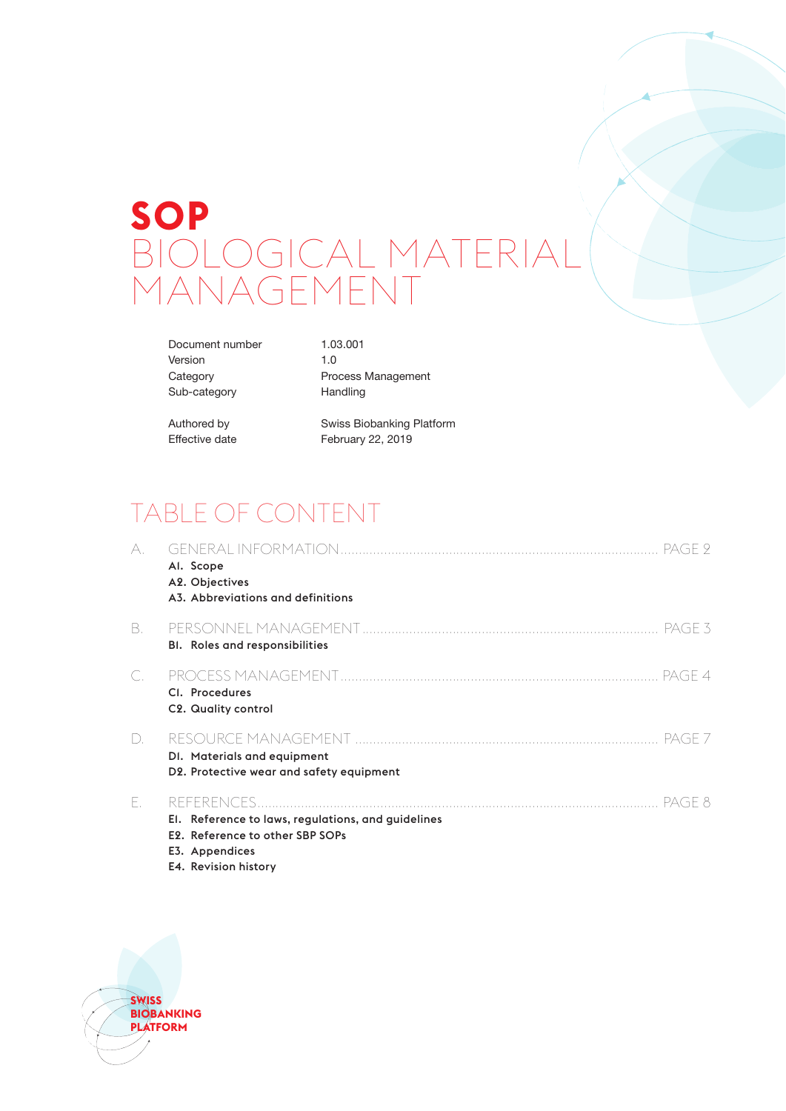# **SOP** BIOLOGICAL MATERIAL MANAGEMENT

Document number 1.03.001 Version 1.0 Sub-category **Handling** 

Category **Process Management** 

Authored by Swiss Biobanking Platform Effective date February 22, 2019

# TABLE OF CONTENT

| А.     | Al. Scope<br>A2. Objectives<br>A3. Abbreviations and definitions                                                                                        |
|--------|---------------------------------------------------------------------------------------------------------------------------------------------------------|
| B.     | <b>BI.</b> Roles and responsibilities                                                                                                                   |
| C.     | CI. Procedures<br>C2. Quality control                                                                                                                   |
| $\Box$ | - PAGE 7<br>DI. Materials and equipment<br>D2. Protective wear and safety equipment                                                                     |
| Е.     | -PAGE 8<br>El. Reference to laws, regulations, and guidelines<br>E <sub>2</sub> . Reference to other SBP SOPs<br>E3. Appendices<br>E4. Revision history |

**SWISS BIOBANKING PLATFORM**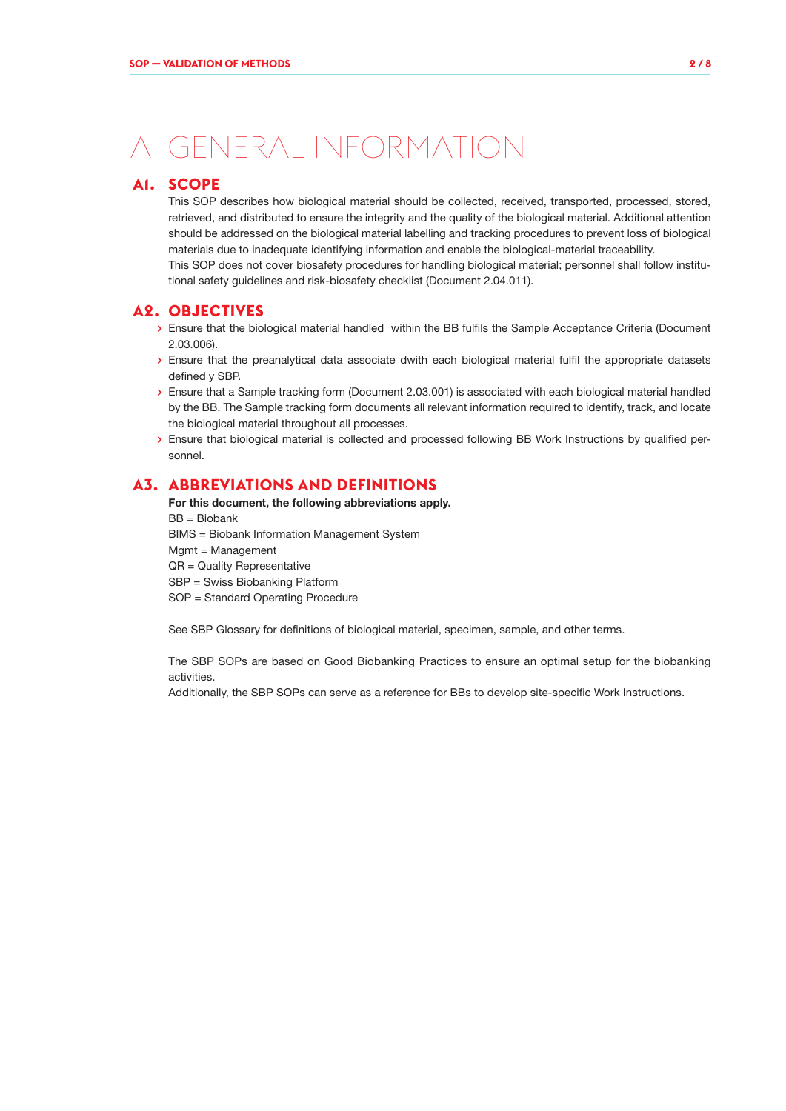# A. GENERAL INFORMATION

# **A1. SCOPE**

This SOP describes how biological material should be collected, received, transported, processed, stored, retrieved, and distributed to ensure the integrity and the quality of the biological material. Additional attention should be addressed on the biological material labelling and tracking procedures to prevent loss of biological materials due to inadequate identifying information and enable the biological-material traceability.

This SOP does not cover biosafety procedures for handling biological material; personnel shall follow institutional safety guidelines and risk-biosafety checklist (Document 2.04.011).

### **A2. OBJECTIVES**

- **>** Ensure that the biological material handled within the BB fulfils the Sample Acceptance Criteria (Document 2.03.006).
- **>** Ensure that the preanalytical data associate dwith each biological material fulfil the appropriate datasets defined y SBP.
- **>** Ensure that a Sample tracking form (Document 2.03.001) is associated with each biological material handled by the BB. The Sample tracking form documents all relevant information required to identify, track, and locate the biological material throughout all processes.
- **>** Ensure that biological material is collected and processed following BB Work Instructions by qualified personnel.

# **A3. ABBREVIATIONS AND DEFINITIONS**

For this document, the following abbreviations apply. BB = Biobank BIMS = Biobank Information Management System Mgmt = Management QR = Quality Representative SBP = Swiss Biobanking Platform SOP = Standard Operating Procedure

See SBP Glossary for definitions of biological material, specimen, sample, and other terms.

The SBP SOPs are based on Good Biobanking Practices to ensure an optimal setup for the biobanking activities.

Additionally, the SBP SOPs can serve as a reference for BBs to develop site-specific Work Instructions.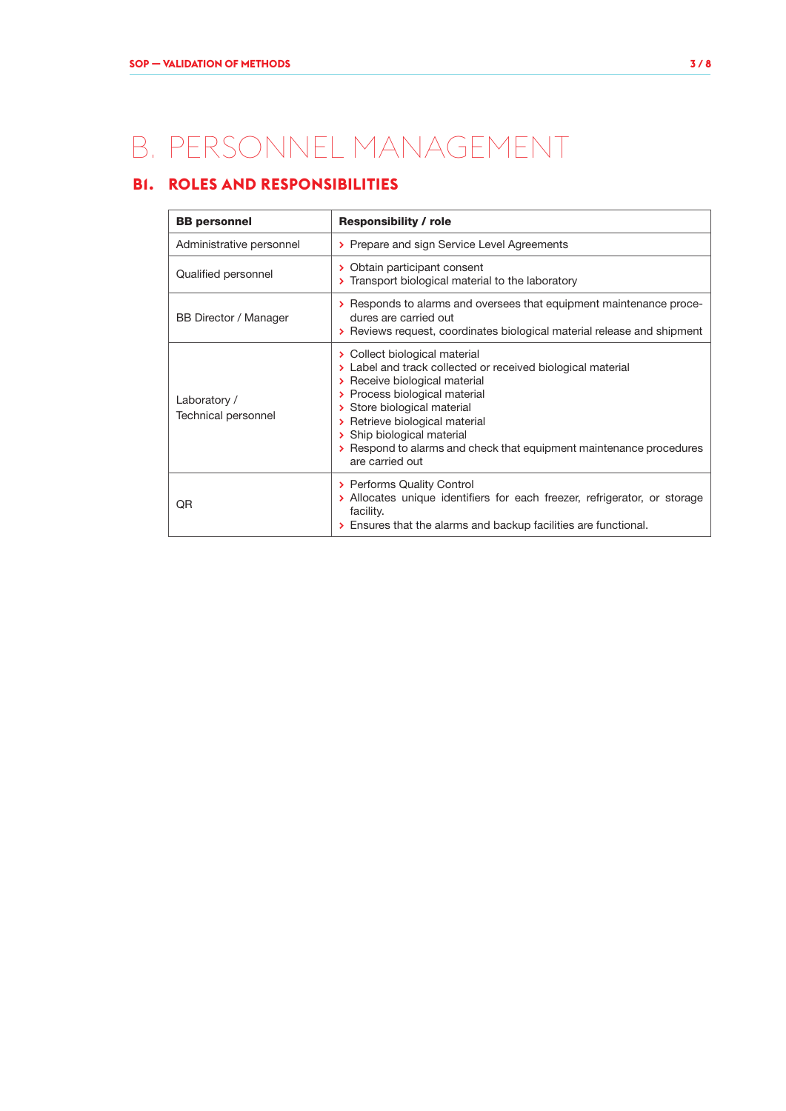# B. PERSONNEL MANAGEMENT

# **B1. ROLES AND RESPONSIBILITIES**

| <b>BB</b> personnel                 | <b>Responsibility / role</b>                                                                                                                                                                                                                                                                                                                            |  |  |  |
|-------------------------------------|---------------------------------------------------------------------------------------------------------------------------------------------------------------------------------------------------------------------------------------------------------------------------------------------------------------------------------------------------------|--|--|--|
| Administrative personnel            | > Prepare and sign Service Level Agreements                                                                                                                                                                                                                                                                                                             |  |  |  |
| Qualified personnel                 | > Obtain participant consent<br>> Transport biological material to the laboratory                                                                                                                                                                                                                                                                       |  |  |  |
| <b>BB Director / Manager</b>        | > Responds to alarms and oversees that equipment maintenance proce-<br>dures are carried out<br>> Reviews request, coordinates biological material release and shipment                                                                                                                                                                                 |  |  |  |
| Laboratory /<br>Technical personnel | > Collect biological material<br>> Label and track collected or received biological material<br>> Receive biological material<br>> Process biological material<br>> Store biological material<br>> Retrieve biological material<br>> Ship biological material<br>> Respond to alarms and check that equipment maintenance procedures<br>are carried out |  |  |  |
| QR                                  | > Performs Quality Control<br>> Allocates unique identifiers for each freezer, refrigerator, or storage<br>facility.<br>> Ensures that the alarms and backup facilities are functional.                                                                                                                                                                 |  |  |  |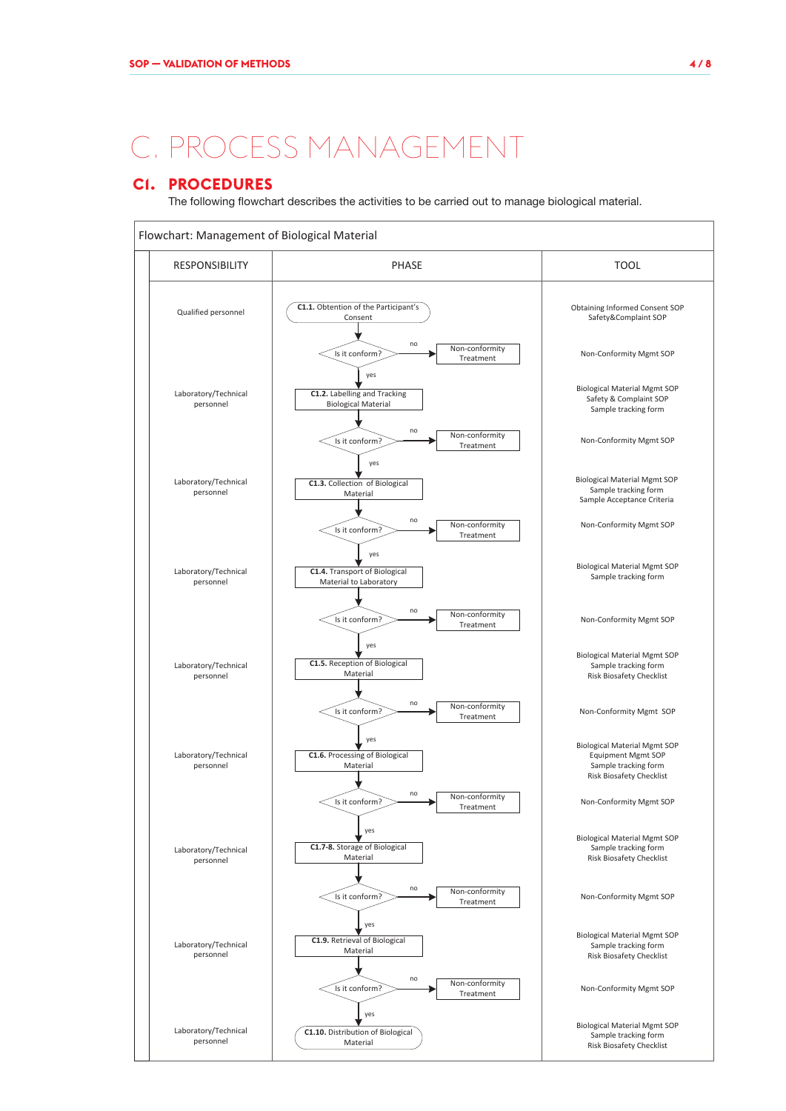# . PROCESS MANAGEMEI

### **C1. PROCEDURES**

The following flowchart describes the activities to be carried out to manage biological material.

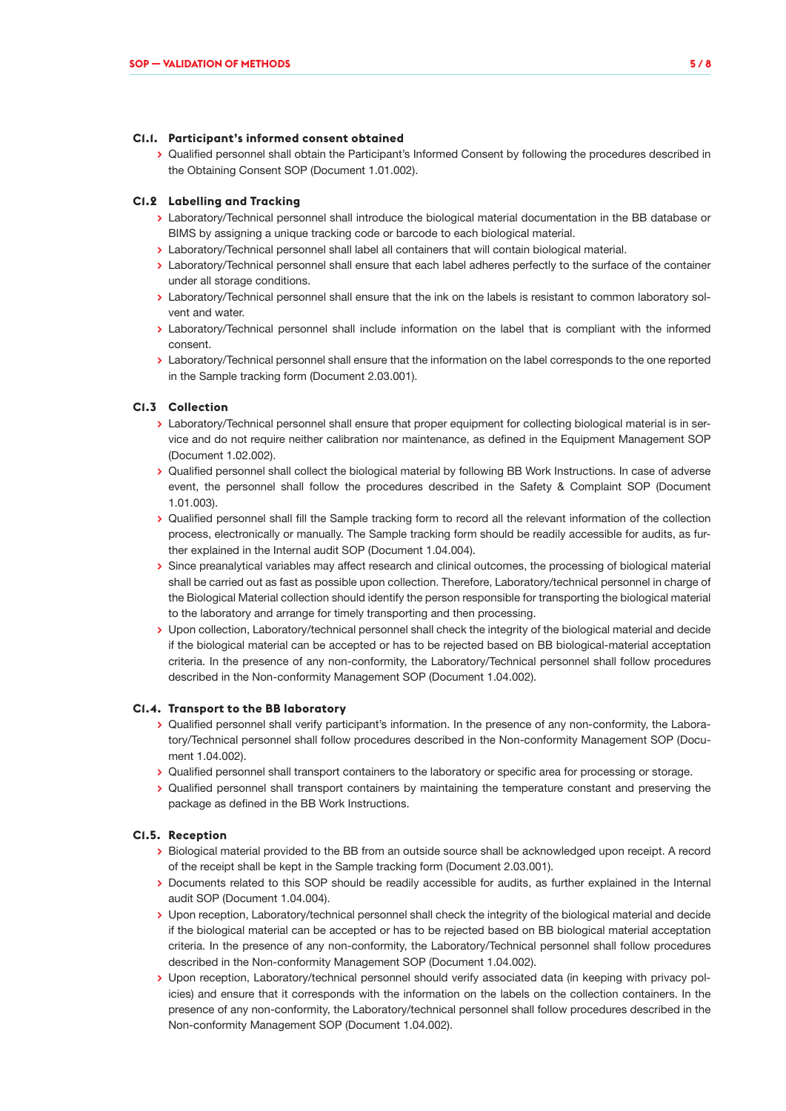#### **C1.1. Participant's informed consent obtained**

**>** Qualified personnel shall obtain the Participant's Informed Consent by following the procedures described in the Obtaining Consent SOP (Document 1.01.002).

#### **C1.2 Labelling and Tracking**

- **>** Laboratory/Technical personnel shall introduce the biological material documentation in the BB database or BIMS by assigning a unique tracking code or barcode to each biological material.
- **>** Laboratory/Technical personnel shall label all containers that will contain biological material.
- **>** Laboratory/Technical personnel shall ensure that each label adheres perfectly to the surface of the container under all storage conditions.
- **>** Laboratory/Technical personnel shall ensure that the ink on the labels is resistant to common laboratory solvent and water.
- **>** Laboratory/Technical personnel shall include information on the label that is compliant with the informed consent.
- **>** Laboratory/Technical personnel shall ensure that the information on the label corresponds to the one reported in the Sample tracking form (Document 2.03.001).

#### **C1.3 Collection**

- **>** Laboratory/Technical personnel shall ensure that proper equipment for collecting biological material is in service and do not require neither calibration nor maintenance, as defined in the Equipment Management SOP (Document 1.02.002).
- **>** Qualified personnel shall collect the biological material by following BB Work Instructions. In case of adverse event, the personnel shall follow the procedures described in the Safety & Complaint SOP (Document 1.01.003).
- **>** Qualified personnel shall fill the Sample tracking form to record all the relevant information of the collection process, electronically or manually. The Sample tracking form should be readily accessible for audits, as further explained in the Internal audit SOP (Document 1.04.004).
- **>** Since preanalytical variables may affect research and clinical outcomes, the processing of biological material shall be carried out as fast as possible upon collection. Therefore, Laboratory/technical personnel in charge of the Biological Material collection should identify the person responsible for transporting the biological material to the laboratory and arrange for timely transporting and then processing.
- **>** Upon collection, Laboratory/technical personnel shall check the integrity of the biological material and decide if the biological material can be accepted or has to be rejected based on BB biological-material acceptation criteria. In the presence of any non-conformity, the Laboratory/Technical personnel shall follow procedures described in the Non-conformity Management SOP (Document 1.04.002).

#### **C1.4. Transport to the BB laboratory**

- **>** Qualified personnel shall verify participant's information. In the presence of any non-conformity, the Laboratory/Technical personnel shall follow procedures described in the Non-conformity Management SOP (Document 1.04.002).
- **>** Qualified personnel shall transport containers to the laboratory or specific area for processing or storage.
- **>** Qualified personnel shall transport containers by maintaining the temperature constant and preserving the package as defined in the BB Work Instructions.

#### **C1.5. Reception**

- **>** Biological material provided to the BB from an outside source shall be acknowledged upon receipt. A record of the receipt shall be kept in the Sample tracking form (Document 2.03.001).
- **>** Documents related to this SOP should be readily accessible for audits, as further explained in the Internal audit SOP (Document 1.04.004).
- **>** Upon reception, Laboratory/technical personnel shall check the integrity of the biological material and decide if the biological material can be accepted or has to be rejected based on BB biological material acceptation criteria. In the presence of any non-conformity, the Laboratory/Technical personnel shall follow procedures described in the Non-conformity Management SOP (Document 1.04.002).
- **>** Upon reception, Laboratory/technical personnel should verify associated data (in keeping with privacy policies) and ensure that it corresponds with the information on the labels on the collection containers. In the presence of any non-conformity, the Laboratory/technical personnel shall follow procedures described in the Non-conformity Management SOP (Document 1.04.002).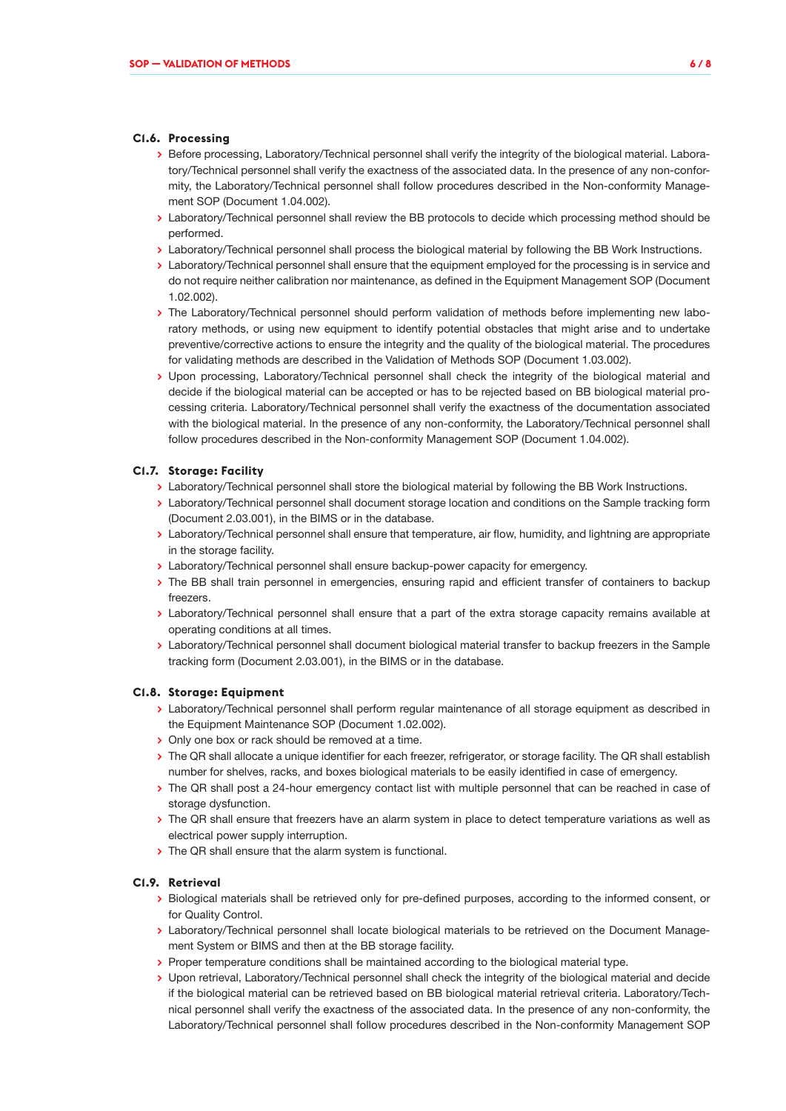#### **C1.6. Processing**

- **>** Before processing, Laboratory/Technical personnel shall verify the integrity of the biological material. Laboratory/Technical personnel shall verify the exactness of the associated data. In the presence of any non-conformity, the Laboratory/Technical personnel shall follow procedures described in the Non-conformity Management SOP (Document 1.04.002).
- **>** Laboratory/Technical personnel shall review the BB protocols to decide which processing method should be performed.
- **>** Laboratory/Technical personnel shall process the biological material by following the BB Work Instructions.
- **>** Laboratory/Technical personnel shall ensure that the equipment employed for the processing is in service and do not require neither calibration nor maintenance, as defined in the Equipment Management SOP (Document 1.02.002).
- **>** The Laboratory/Technical personnel should perform validation of methods before implementing new laboratory methods, or using new equipment to identify potential obstacles that might arise and to undertake preventive/corrective actions to ensure the integrity and the quality of the biological material. The procedures for validating methods are described in the Validation of Methods SOP (Document 1.03.002).
- **>** Upon processing, Laboratory/Technical personnel shall check the integrity of the biological material and decide if the biological material can be accepted or has to be rejected based on BB biological material processing criteria. Laboratory/Technical personnel shall verify the exactness of the documentation associated with the biological material. In the presence of any non-conformity, the Laboratory/Technical personnel shall follow procedures described in the Non-conformity Management SOP (Document 1.04.002).

#### **C1.7. Storage: Facility**

- **>** Laboratory/Technical personnel shall store the biological material by following the BB Work Instructions.
- **>** Laboratory/Technical personnel shall document storage location and conditions on the Sample tracking form (Document 2.03.001), in the BIMS or in the database.
- **>** Laboratory/Technical personnel shall ensure that temperature, air flow, humidity, and lightning are appropriate in the storage facility.
- **>** Laboratory/Technical personnel shall ensure backup-power capacity for emergency.
- **>** The BB shall train personnel in emergencies, ensuring rapid and efficient transfer of containers to backup freezers.
- **>** Laboratory/Technical personnel shall ensure that a part of the extra storage capacity remains available at operating conditions at all times.
- **>** Laboratory/Technical personnel shall document biological material transfer to backup freezers in the Sample tracking form (Document 2.03.001), in the BIMS or in the database.

#### **C1.8. Storage: Equipment**

- **>** Laboratory/Technical personnel shall perform regular maintenance of all storage equipment as described in the Equipment Maintenance SOP (Document 1.02.002).
- **>** Only one box or rack should be removed at a time.
- **>** The QR shall allocate a unique identifier for each freezer, refrigerator, or storage facility. The QR shall establish number for shelves, racks, and boxes biological materials to be easily identified in case of emergency.
- **>** The QR shall post a 24-hour emergency contact list with multiple personnel that can be reached in case of storage dysfunction.
- **>** The QR shall ensure that freezers have an alarm system in place to detect temperature variations as well as electrical power supply interruption.
- **>** The QR shall ensure that the alarm system is functional.

#### **C1.9. Retrieval**

- **>** Biological materials shall be retrieved only for pre-defined purposes, according to the informed consent, or for Quality Control.
- **>** Laboratory/Technical personnel shall locate biological materials to be retrieved on the Document Management System or BIMS and then at the BB storage facility.
- **>** Proper temperature conditions shall be maintained according to the biological material type.
- **>** Upon retrieval, Laboratory/Technical personnel shall check the integrity of the biological material and decide if the biological material can be retrieved based on BB biological material retrieval criteria. Laboratory/Technical personnel shall verify the exactness of the associated data. In the presence of any non-conformity, the Laboratory/Technical personnel shall follow procedures described in the Non-conformity Management SOP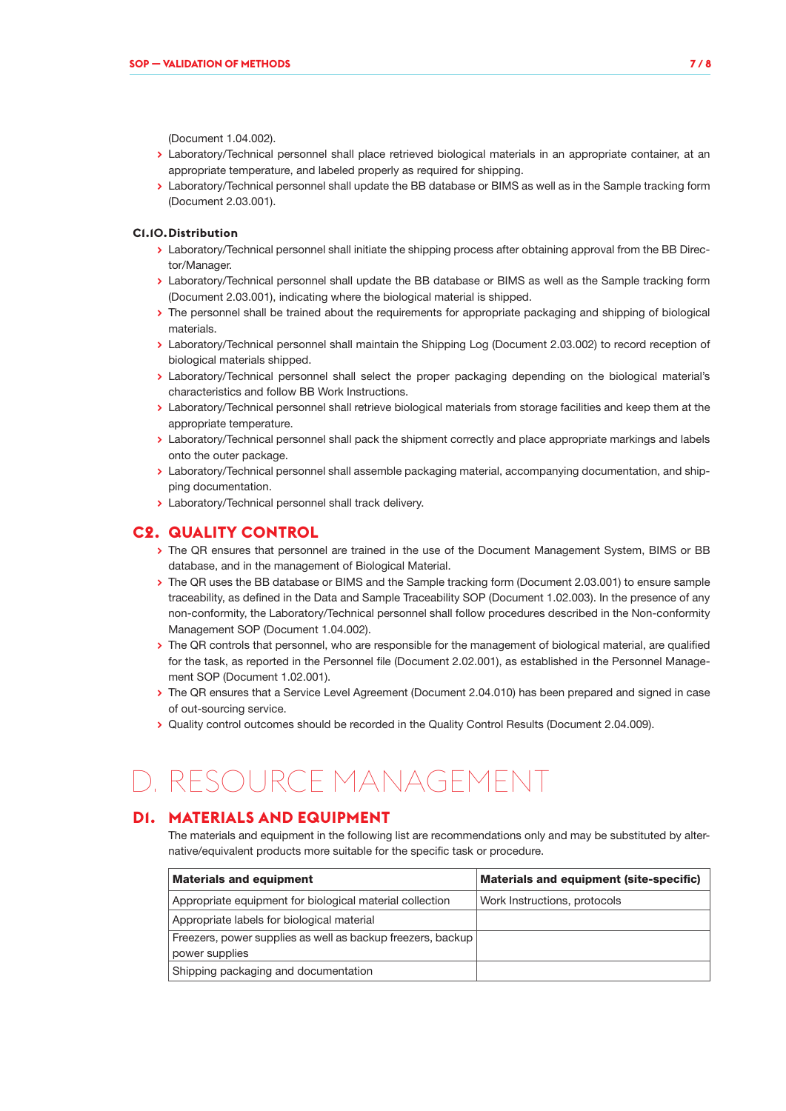(Document 1.04.002).

- **>** Laboratory/Technical personnel shall place retrieved biological materials in an appropriate container, at an appropriate temperature, and labeled properly as required for shipping.
- **>** Laboratory/Technical personnel shall update the BB database or BIMS as well as in the Sample tracking form (Document 2.03.001).

#### **C1.10.Distribution**

- **>** Laboratory/Technical personnel shall initiate the shipping process after obtaining approval from the BB Director/Manager.
- **>** Laboratory/Technical personnel shall update the BB database or BIMS as well as the Sample tracking form (Document 2.03.001), indicating where the biological material is shipped.
- **>** The personnel shall be trained about the requirements for appropriate packaging and shipping of biological materials.
- **>** Laboratory/Technical personnel shall maintain the Shipping Log (Document 2.03.002) to record reception of biological materials shipped.
- **>** Laboratory/Technical personnel shall select the proper packaging depending on the biological material's characteristics and follow BB Work Instructions.
- **>** Laboratory/Technical personnel shall retrieve biological materials from storage facilities and keep them at the appropriate temperature.
- **>** Laboratory/Technical personnel shall pack the shipment correctly and place appropriate markings and labels onto the outer package.
- **>** Laboratory/Technical personnel shall assemble packaging material, accompanying documentation, and shipping documentation.
- **>** Laboratory/Technical personnel shall track delivery.

#### **C2. QUALITY CONTROL**

- **>** The QR ensures that personnel are trained in the use of the Document Management System, BIMS or BB database, and in the management of Biological Material.
- **>** The QR uses the BB database or BIMS and the Sample tracking form (Document 2.03.001) to ensure sample traceability, as defined in the Data and Sample Traceability SOP (Document 1.02.003). In the presence of any non-conformity, the Laboratory/Technical personnel shall follow procedures described in the Non-conformity Management SOP (Document 1.04.002).
- **>** The QR controls that personnel, who are responsible for the management of biological material, are qualified for the task, as reported in the Personnel file (Document 2.02.001), as established in the Personnel Management SOP (Document 1.02.001).
- **>** The QR ensures that a Service Level Agreement (Document 2.04.010) has been prepared and signed in case of out-sourcing service.
- **>** Quality control outcomes should be recorded in the Quality Control Results (Document 2.04.009).

# D. RESOURCE MANAGEMENT

### **D1. MATERIALS AND EQUIPMENT**

The materials and equipment in the following list are recommendations only and may be substituted by alternative/equivalent products more suitable for the specific task or procedure.

| <b>Materials and equipment</b>                                                | Materials and equipment (site-specific) |
|-------------------------------------------------------------------------------|-----------------------------------------|
| Appropriate equipment for biological material collection                      | Work Instructions, protocols            |
| Appropriate labels for biological material                                    |                                         |
| Freezers, power supplies as well as backup freezers, backup<br>power supplies |                                         |
| Shipping packaging and documentation                                          |                                         |